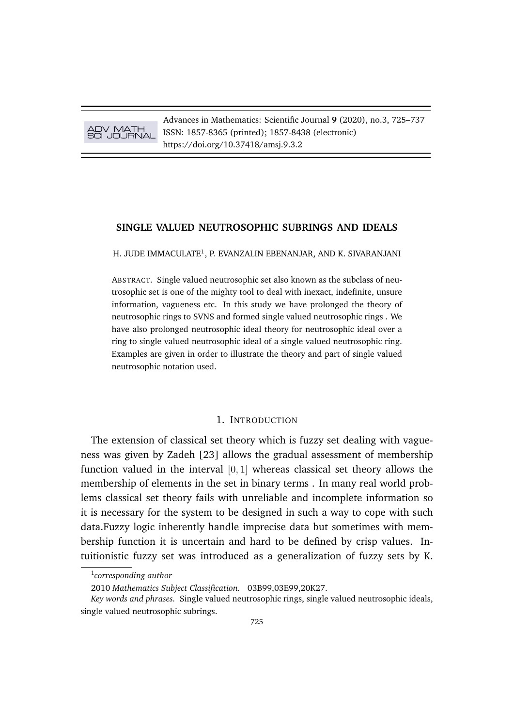ADV MATH SCI JOURNAL

Advances in Mathematics: Scientific Journal **9** (2020), no.3, 725–737 ISSN: 1857-8365 (printed); 1857-8438 (electronic) https://doi.org/10.37418/amsj.9.3.2

## **SINGLE VALUED NEUTROSOPHIC SUBRINGS AND IDEALS**

H. JUDE IMMACULATE $^1$ , P. EVANZALIN EBENANJAR, AND K. SIVARANJANI

ABSTRACT. Single valued neutrosophic set also known as the subclass of neutrosophic set is one of the mighty tool to deal with inexact, indefinite, unsure information, vagueness etc. In this study we have prolonged the theory of neutrosophic rings to SVNS and formed single valued neutrosophic rings . We have also prolonged neutrosophic ideal theory for neutrosophic ideal over a ring to single valued neutrosophic ideal of a single valued neutrosophic ring. Examples are given in order to illustrate the theory and part of single valued neutrosophic notation used.

# 1. INTRODUCTION

The extension of classical set theory which is fuzzy set dealing with vagueness was given by Zadeh [23] allows the gradual assessment of membership function valued in the interval  $[0, 1]$  whereas classical set theory allows the membership of elements in the set in binary terms . In many real world problems classical set theory fails with unreliable and incomplete information so it is necessary for the system to be designed in such a way to cope with such data.Fuzzy logic inherently handle imprecise data but sometimes with membership function it is uncertain and hard to be defined by crisp values. Intuitionistic fuzzy set was introduced as a generalization of fuzzy sets by K.

<sup>1</sup> *corresponding author*

<sup>2010</sup> *Mathematics Subject Classification.* 03B99,03E99,20K27.

*Key words and phrases.* Single valued neutrosophic rings, single valued neutrosophic ideals, single valued neutrosophic subrings.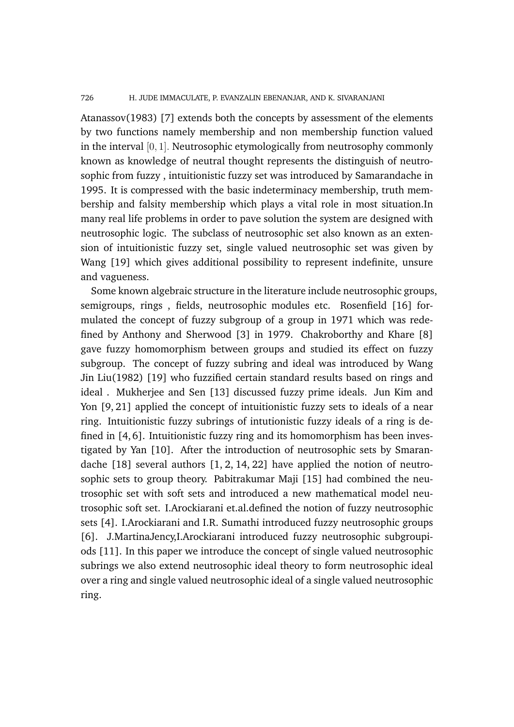### 726 H. JUDE IMMACULATE, P. EVANZALIN EBENANJAR, AND K. SIVARANJANI

Atanassov(1983) [7] extends both the concepts by assessment of the elements by two functions namely membership and non membership function valued in the interval [0, 1]. Neutrosophic etymologically from neutrosophy commonly known as knowledge of neutral thought represents the distinguish of neutrosophic from fuzzy , intuitionistic fuzzy set was introduced by Samarandache in 1995. It is compressed with the basic indeterminacy membership, truth membership and falsity membership which plays a vital role in most situation.In many real life problems in order to pave solution the system are designed with neutrosophic logic. The subclass of neutrosophic set also known as an extension of intuitionistic fuzzy set, single valued neutrosophic set was given by Wang [19] which gives additional possibility to represent indefinite, unsure and vagueness.

Some known algebraic structure in the literature include neutrosophic groups, semigroups, rings , fields, neutrosophic modules etc. Rosenfield [16] formulated the concept of fuzzy subgroup of a group in 1971 which was redefined by Anthony and Sherwood [3] in 1979. Chakroborthy and Khare [8] gave fuzzy homomorphism between groups and studied its effect on fuzzy subgroup. The concept of fuzzy subring and ideal was introduced by Wang Jin Liu(1982) [19] who fuzzified certain standard results based on rings and ideal . Mukherjee and Sen [13] discussed fuzzy prime ideals. Jun Kim and Yon [9, 21] applied the concept of intuitionistic fuzzy sets to ideals of a near ring. Intuitionistic fuzzy subrings of intutionistic fuzzy ideals of a ring is defined in [4, 6]. Intuitionistic fuzzy ring and its homomorphism has been investigated by Yan [10]. After the introduction of neutrosophic sets by Smarandache [18] several authors [1, 2, 14, 22] have applied the notion of neutrosophic sets to group theory. Pabitrakumar Maji [15] had combined the neutrosophic set with soft sets and introduced a new mathematical model neutrosophic soft set. I.Arockiarani et.al.defined the notion of fuzzy neutrosophic sets [4]. I.Arockiarani and I.R. Sumathi introduced fuzzy neutrosophic groups [6]. J.MartinaJency,I.Arockiarani introduced fuzzy neutrosophic subgroupiods [11]. In this paper we introduce the concept of single valued neutrosophic subrings we also extend neutrosophic ideal theory to form neutrosophic ideal over a ring and single valued neutrosophic ideal of a single valued neutrosophic ring.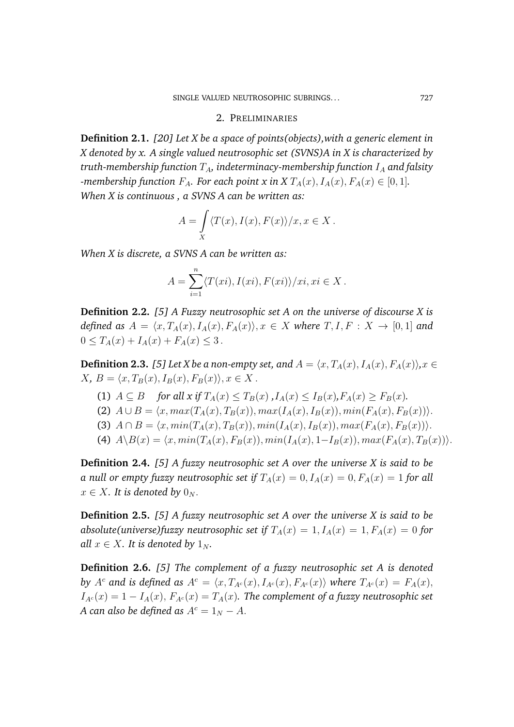### 2. PRELIMINARIES

**Definition 2.1.** *[20] Let X be a space of points(objects),with a generic element in X denoted by x. A single valued neutrosophic set (SVNS)A in X is characterized by truth-membership function*  $T_A$ , indeterminacy-membership function  $I_A$  and falsity *-membership function*  $F_A$ *. For each point x in X*  $T_A(x)$ *,*  $I_A(x)$ *,*  $F_A(x) \in [0,1]$ *. When X is continuous , a SVNS A can be written as:*

$$
A = \int\limits_X \langle T(x), I(x), F(x) \rangle / x, x \in X.
$$

*When X is discrete, a SVNS A can be written as:*

$$
A = \sum_{i=1}^{n} \langle T(xi), I(xi), F(xi) \rangle / xi, xi \in X.
$$

**Definition 2.2.** *[5] A Fuzzy neutrosophic set A on the universe of discourse X is defined as*  $A = \langle x, T_A(x), I_A(x), F_A(x) \rangle, x \in X$  *where*  $T, I, F : X \to [0, 1]$  *and*  $0 \leq T_A(x) + I_A(x) + F_A(x) \leq 3$ .

**Definition 2.3.** *[5] Let X be a non-empty set, and*  $A = \langle x, T_A(x), I_A(x), F_A(x) \rangle, x \in$  $X, B = \langle x, T_B(x), I_B(x), F_B(x) \rangle, x \in X$ .

- (1)  $A \subseteq B$  *for all x if*  $T_A(x) \le T_B(x)$ ,  $I_A(x) \le I_B(x)$ ,  $F_A(x) \ge F_B(x)$ .
- (2)  $A \cup B = \langle x, max(T_A(x), T_B(x)), max(I_A(x), I_B(x)), min(F_A(x), F_B(x)) \rangle.$
- (3)  $A \cap B = \langle x, min(T_A(x), T_B(x)), min(I_A(x), I_B(x)), max(F_A(x), F_B(x))\rangle.$
- (4)  $A \setminus B(x) = \langle x, min(T_A(x), F_B(x)), min(I_A(x), 1-I_B(x)), max(F_A(x), T_B(x))\rangle.$

**Definition 2.4.** *[5] A fuzzy neutrosophic set A over the universe X is said to be a null or empty fuzzy neutrosophic set if*  $T_A(x) = 0, I_A(x) = 0, F_A(x) = 1$  *for all*  $x \in X$ *. It is denoted by*  $0_N$ *.* 

**Definition 2.5.** *[5] A fuzzy neutrosophic set A over the universe X is said to be absolute(universe)fuzzy neutrosophic set if*  $T_A(x) = 1, I_A(x) = 1, F_A(x) = 0$  *for all*  $x \in X$ *. It is denoted by*  $1_N$ *.* 

**Definition 2.6.** *[5] The complement of a fuzzy neutrosophic set A is denoted by*  $A^c$  and is defined as  $A^c = \langle x, T_{A^c}(x), I_{A^c}(x), F_{A^c}(x) \rangle$  where  $T_{A^c}(x) = F_A(x)$ ,  $I_{A^c}(x) = 1 - I_A(x), F_{A^c}(x) = T_A(x)$ . The complement of a fuzzy neutrosophic set *A* can also be defined as  $A^c = 1_N - A$ .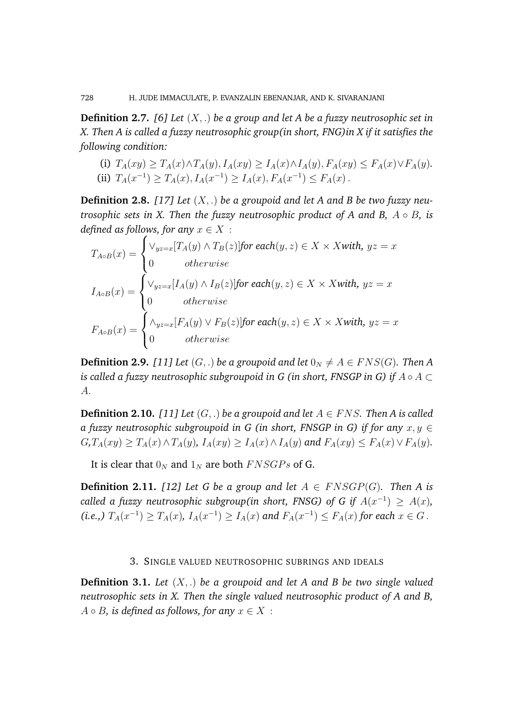**Definition 2.7.** *[6] Let* (X, .) *be a group and let A be a fuzzy neutrosophic set in X. Then A is called a fuzzy neutrosophic group(in short, FNG)in X if it satisfies the following condition:*

(i) 
$$
T_A(xy) \ge T_A(x) \wedge T_A(y), I_A(xy) \ge I_A(x) \wedge I_A(y), F_A(xy) \le F_A(x) \vee F_A(y).
$$
  
\n(ii)  $T_A(x^{-1}) \ge T_A(x), I_A(x^{-1}) \ge I_A(x), F_A(x^{-1}) \le F_A(x).$ 

**Definition 2.8.** *[17] Let* (X, .) *be a groupoid and let A and B be two fuzzy neutrosophic sets in X. Then the fuzzy neutrosophic product of A and B,* A ◦ B*, is defined as follows, for any*  $x \in X$  :

$$
T_{A \circ B}(x) = \begin{cases} \vee_{yz=x} [T_A(y) \land T_B(z)] \text{for each}(y, z) \in X \times X \text{ with, } yz = x \\ 0 & otherwise \end{cases}
$$
  

$$
I_{A \circ B}(x) = \begin{cases} \vee_{yz=x} [I_A(y) \land I_B(z)] \text{for each}(y, z) \in X \times X \text{ with, } yz = x \\ 0 & otherwise \end{cases}
$$
  

$$
F_{A \circ B}(x) = \begin{cases} \wedge_{yz=x} [F_A(y) \lor F_B(z)] \text{for each}(y, z) \in X \times X \text{ with, } yz = x \\ 0 & otherwise \end{cases}
$$

**Definition 2.9.** [11] Let  $(G, .)$  be a groupoid and let  $0_N \neq A \in FNS(G)$ . Then A *is called a fuzzy neutrosophic subgroupoid in G (in short, FNSGP in G) if* A ◦ A ⊂ A.

**Definition 2.10.** *[11] Let*  $(G, .)$  *be a groupoid and let*  $A \in FNS$ *. Then A is called a fuzzy neutrosophic subgroupoid in G (in short, FNSGP in G) if for any*  $x, y \in$  $G, T_A(xy) \geq T_A(x) \wedge T_A(y)$ ,  $I_A(xy) \geq I_A(x) \wedge I_A(y)$  and  $F_A(xy) \leq F_A(x) \vee F_A(y)$ .

It is clear that  $0_N$  and  $1_N$  are both  $FNSGPs$  of G.

**Definition 2.11.** *[12] Let G be a group and let*  $A \in FNSGP(G)$ *. Then A is called a fuzzy neutrosophic subgroup(in short, FNSG) of G if*  $A(x^{-1}) \geq A(x)$ *,* (i.e.,)  $T_A(x^{-1})$  ≥  $T_A(x)$ ,  $I_A(x^{-1})$  ≥  $I_A(x)$  and  $F_A(x^{-1})$  ≤  $F_A(x)$  for each  $x \in G$ .

### 3. SINGLE VALUED NEUTROSOPHIC SUBRINGS AND IDEALS

**Definition 3.1.** *Let* (X, .) *be a groupoid and let A and B be two single valued neutrosophic sets in X. Then the single valued neutrosophic product of A and B,*  $A \circ B$ *, is defined as follows, for any*  $x \in X$ :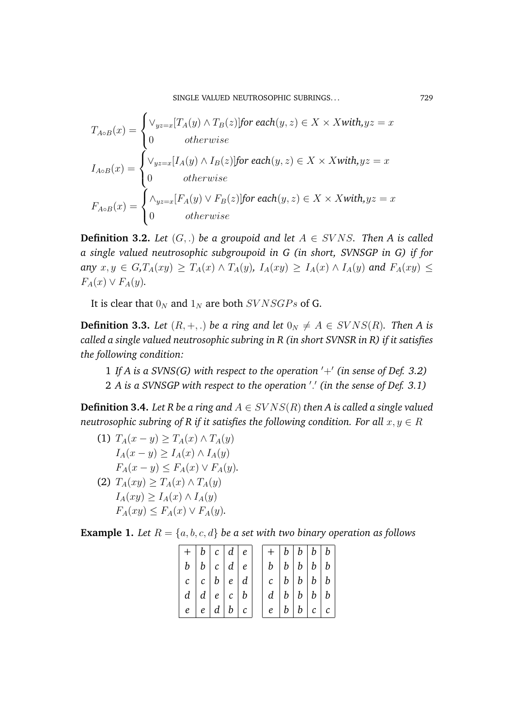SINGLE VALUED NEUTROSOPHIC SUBRINGS... 729

$$
T_{A \circ B}(x) = \begin{cases} \vee_{yz=x} [T_A(y) \land T_B(z)] \text{for each}(y, z) \in X \times X \text{with}, yz = x \\ 0 & otherwise \end{cases}
$$
  

$$
I_{A \circ B}(x) = \begin{cases} \vee_{yz=x} [I_A(y) \land I_B(z)] \text{for each}(y, z) \in X \times X \text{with}, yz = x \\ 0 & otherwise \end{cases}
$$
  

$$
F_{A \circ B}(x) = \begin{cases} \wedge_{yz=x} [F_A(y) \lor F_B(z)] \text{for each}(y, z) \in X \times X \text{with}, yz = x \\ 0 & otherwise \end{cases}
$$

**Definition 3.2.** *Let*  $(G, .)$  *be a groupoid and let*  $A \in SVNS$ *. Then A is called a single valued neutrosophic subgroupoid in G (in short, SVNSGP in G) if for any*  $x, y \in G, T_A(xy) \geq T_A(x) \wedge T_A(y)$ ,  $I_A(xy) \geq I_A(x) \wedge I_A(y)$  and  $F_A(xy) \leq$  $F_A(x) \vee F_A(y)$ .

It is clear that  $0_N$  and  $1_N$  are both  $SVNSGPs$  of G.

**Definition 3.3.** *Let*  $(R, +, .)$  *be a ring and let*  $0_N \neq A \in SVNS(R)$ *. Then A is called a single valued neutrosophic subring in R (in short SVNSR in R) if it satisfies the following condition:*

1 If A is a SVNS(G) with respect to the operation  $'+'$  (in sense of Def. 3.2) 2 A is a SVNSGP with respect to the operation '.' (in the sense of Def. 3.1)

**Definition 3.4.** *Let R be a ring and*  $A \in SVNS(R)$  *then A is called a single valued neutrosophic subring of R if it satisfies the following condition. For all*  $x, y \in R$ 

(1) 
$$
T_A(x - y) \ge T_A(x) \wedge T_A(y)
$$

$$
I_A(x - y) \ge I_A(x) \wedge I_A(y)
$$

$$
F_A(x - y) \le F_A(x) \vee F_A(y).
$$
  
(2) 
$$
T_A(xy) \ge T_A(x) \wedge T_A(y)
$$

$$
I_A(xy) \ge I_A(x) \wedge I_A(y)
$$

$$
F_A(xy) \le F_A(x) \vee F_A(y).
$$

**Example 1.** Let  $R = \{a, b, c, d\}$  be a set with two binary operation as follows

| $+  b  c  d  e$                 |  |  |  | $+  b  b  b  b$                 |  |
|---------------------------------|--|--|--|---------------------------------|--|
| $b \mid b \mid c \mid d \mid e$ |  |  |  | $b \mid b \mid b \mid b \mid b$ |  |
| $c \mid c \mid b \mid e \mid d$ |  |  |  | c  b   b   b   b                |  |
| d   d   e   c   b               |  |  |  | d   b   b   b   b               |  |
| $e \mid e \mid d \mid b \mid c$ |  |  |  | e  b b c c                      |  |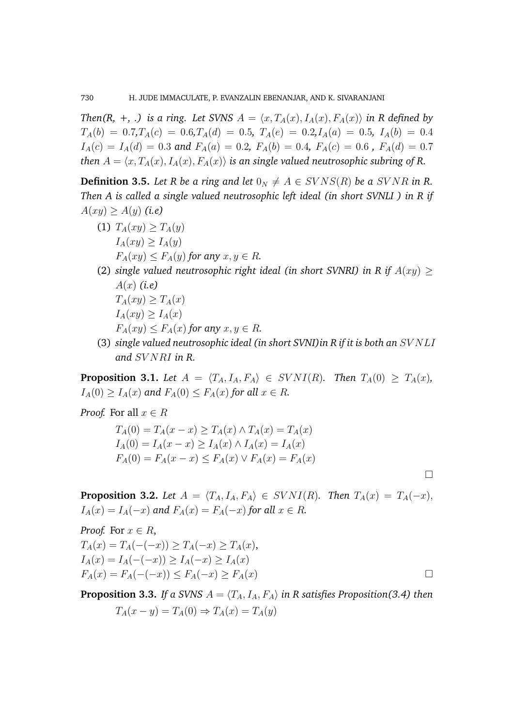*Then*(*R,* +, .) is a ring. Let SVNS  $A = \langle x, T_A(x), I_A(x), F_A(x) \rangle$  in R defined by  $T_A(b) = 0.7, T_A(c) = 0.6, T_A(d) = 0.5, T_A(e) = 0.2, I_A(a) = 0.5, I_A(b) = 0.4$  $I_A(c) = I_A(d) = 0.3$  and  $F_A(a) = 0.2$ ,  $F_A(b) = 0.4$ ,  $F_A(c) = 0.6$ ,  $F_A(d) = 0.7$ *then*  $A = \langle x, T_A(x), I_A(x), F_A(x) \rangle$  *is an single valued neutrosophic subring of R.* 

**Definition 3.5.** *Let* R *be a ring and let*  $0_N \neq A \in SVNS(R)$  *be a SVNR in R. Then A is called a single valued neutrosophic left ideal (in short SVNLI ) in R if*  $A(xy) \geq A(y)$  (i.e)

- (1)  $T_A(xy) \ge T_A(y)$  $I_A(xy) \geq I_A(y)$  $F_A(xy) \le F_A(y)$  for any  $x, y \in R$ .
- (2) *single valued neutrosophic right ideal (in short SVNRI) in R if*  $A(xy) \geq$ A(x) *(i.e)*
	- $T_A(xy) \geq T_A(x)$  $I_A(xy) \geq I_A(x)$  $F_A(xy) \le F_A(x)$  for any  $x, y \in R$ .
- (3) *single valued neutrosophic ideal (in short SVNI)in R if it is both an* SV NLI *and* SV NRI *in R.*

**Proposition 3.1.** *Let*  $A = \langle T_A, I_A, F_A \rangle \in SVNI(R)$ *. Then*  $T_A(0) \geq T_A(x)$ *,*  $I_A(0) \geq I_A(x)$  and  $F_A(0) \leq F_A(x)$  for all  $x \in R$ .

*Proof.* For all  $x \in R$ 

$$
T_A(0) = T_A(x - x) \ge T_A(x) \land T_A(x) = T_A(x)
$$
  
\n
$$
I_A(0) = I_A(x - x) \ge I_A(x) \land I_A(x) = I_A(x)
$$
  
\n
$$
F_A(0) = F_A(x - x) \le F_A(x) \lor F_A(x) = F_A(x)
$$

**Proposition 3.2.** *Let*  $A = \langle T_A, I_A, F_A \rangle \in SVNI(R)$ *. Then*  $T_A(x) = T_A(-x)$ ,  $I_A(x) = I_A(-x)$  and  $F_A(x) = F_A(-x)$  for all  $x \in R$ .

 $\Box$ 

Proof. For 
$$
x \in R
$$
,  
\n $T_A(x) = T_A(-(x)) \ge T_A(-x) \ge T_A(x)$ ,  
\n $I_A(x) = I_A(-(x)) \ge I_A(-x) \ge I_A(x)$   
\n $F_A(x) = F_A(-(x)) \le F_A(-x) \ge F_A(x)$ 

**Proposition 3.3.** *If a SVNS*  $A = \langle T_A, I_A, F_A \rangle$  *in R satisfies Proposition(3.4) then* 

$$
T_A(x - y) = T_A(0) \Rightarrow T_A(x) = T_A(y)
$$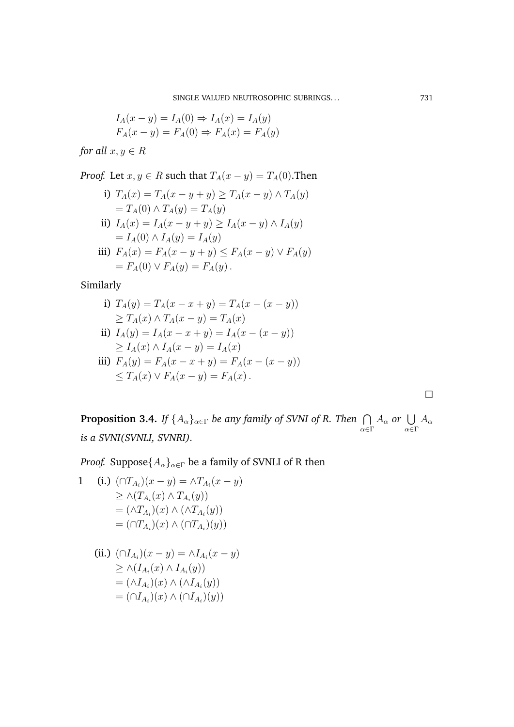$$
I_A(x - y) = I_A(0) \Rightarrow I_A(x) = I_A(y)
$$
  

$$
F_A(x - y) = F_A(0) \Rightarrow F_A(x) = F_A(y)
$$

*for all*  $x, y \in R$ 

*Proof.* Let  $x, y \in R$  such that  $T_A(x - y) = T_A(0)$ . Then

i)  $T_A(x) = T_A(x - y + y) \ge T_A(x - y) \wedge T_A(y)$  $=T_A(0) \wedge T_A(y) = T_A(y)$ ii)  $I_A(x) = I_A(x - y + y) \ge I_A(x - y) \wedge I_A(y)$  $= I_A(0) \wedge I_A(y) = I_A(y)$ iii)  $F_A(x) = F_A(x - y + y) \le F_A(x - y) \vee F_A(y)$  $= F_A(0) \vee F_A(y) = F_A(y)$ .

Similarly

i) 
$$
T_A(y) = T_A(x - x + y) = T_A(x - (x - y))
$$
  
\n $\ge T_A(x) \land T_A(x - y) = T_A(x)$   
\nii)  $I_A(y) = I_A(x - x + y) = I_A(x - (x - y))$   
\n $\ge I_A(x) \land I_A(x - y) = I_A(x)$ 

iii) 
$$
F_A(y) = F_A(x - x + y) = F_A(x - (x - y))
$$
  
\n $\leq T_A(x) \vee F_A(x - y) = F_A(x)$ .

 $\Box$ 

**Proposition 3.4.** *If*  $\{A_\alpha\}_{\alpha \in \Gamma}$  *be any family of SVNI of R. Then*  $\bigcap$ α∈Γ  $A_{\alpha}$  or  $\bigcup$ α∈Γ  $A_{\alpha}$ *is a SVNI(SVNLI, SVNRI).*

*Proof.* Suppose $\{A_{\alpha}\}_{{\alpha}\in\Gamma}$  be a family of SVNLI of R then

1 (i.) 
$$
(\bigcap T_{A_i})(x - y) = \bigcap T_{A_i}(x - y)
$$

$$
\geq \bigcap (T_{A_i}(x) \bigcap T_{A_i}(y))
$$

$$
= (\bigcap T_{A_i})(x) \bigcap (\bigcap T_{A_i})(y)
$$

$$
= (\bigcap T_{A_i})(x) \bigcap (\bigcap T_{A_i})(y)
$$

(ii.) 
$$
(\bigcap I_{A_i})(x - y) = \bigcap I_{A_i}(x - y)
$$

$$
\geq \bigcap (I_{A_i}(x) \land I_{A_i}(y))
$$

$$
= (\bigcap I_{A_i})(x) \land (\bigcap I_{A_i}(y))
$$

$$
= (\bigcap I_{A_i})(x) \land (\bigcap I_{A_i})(y))
$$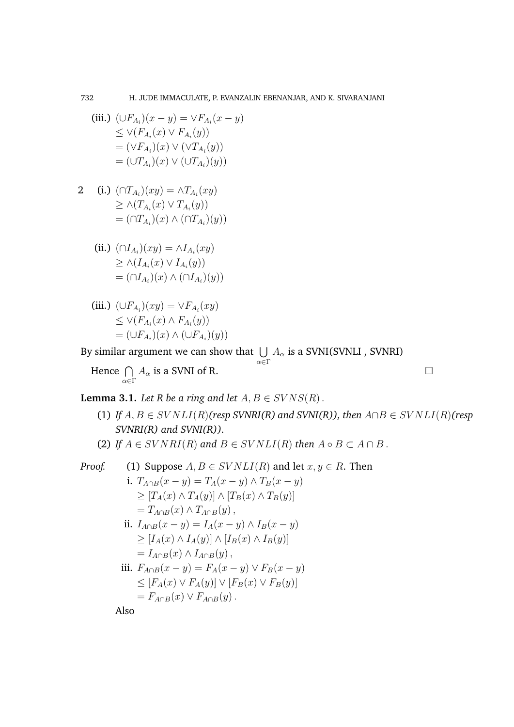(iii.) 
$$
(\bigcup F_{A_i})(x - y) = \bigvee F_{A_i}(x - y)
$$

$$
\leq \bigvee (F_{A_i}(x) \vee F_{A_i}(y))
$$

$$
= (\bigvee F_{A_i})(x) \vee (\bigvee T_{A_i}(y))
$$

$$
= (\bigcup T_{A_i})(x) \vee (\bigcup T_{A_i})(y))
$$

2 (i.) 
$$
(\cap T_{A_i})(xy) = \land T_{A_i}(xy)
$$

$$
\geq \land (T_{A_i}(x) \lor T_{A_i}(y))
$$

$$
= (\cap T_{A_i})(x) \land (\cap T_{A_i})(y))
$$

(ii.) 
$$
(\bigcap I_{A_i})(xy) = \bigwedge I_{A_i}(xy)
$$

$$
\geq \bigwedge (I_{A_i}(x) \vee I_{A_i}(y))
$$

$$
= (\bigcap I_{A_i})(x) \wedge (\bigcap I_{A_i})(y))
$$

(iii.) 
$$
(\bigcup F_{A_i})(xy) = \bigvee F_{A_i}(xy)
$$

$$
\leq \bigvee (F_{A_i}(x) \land F_{A_i}(y))
$$

$$
= (\bigcup F_{A_i})(x) \land (\bigcup F_{A_i})(y))
$$

By similar argument we can show that  $\;\bigcup\;A_\alpha$  is a SVNI(SVNLI , SVNRI) α∈Γ

Hence  $\bigcap$ α∈Γ  $A_{\alpha}$  is a SVNI of R.

**Lemma 3.1.** *Let*  $R$  *be a ring and let*  $A, B \in SVNS(R)$ .

- (1) *If*  $A, B \in SVNLI(R)$ *(resp SVNRI(R) and SVNI(R)), then*  $A \cap B \in SVNLI(R)$ *(resp SVNRI(R) and SVNI(R)).*
- (2) *If*  $A \in SVNRI(R)$  *and*  $B \in SVNLI(R)$  *then*  $A \circ B \subset A \cap B$ .

Proof. (1) Suppose 
$$
A, B \in SVNLI(R)
$$
 and let  $x, y \in R$ . Then  
\ni.  $T_{A \cap B}(x - y) = T_A(x - y) \land T_B(x - y)$   
\n $\geq [T_A(x) \land T_A(y)] \land [T_B(x) \land T_B(y)]$   
\n $= T_{A \cap B}(x) \land T_{A \cap B}(y)$ ,  
\nii.  $I_{A \cap B}(x - y) = I_A(x - y) \land I_B(x - y)$   
\n $\geq [I_A(x) \land I_A(y)] \land [I_B(x) \land I_B(y)]$   
\n $= I_{A \cap B}(x) \land I_{A \cap B}(y)$ ,  
\niii.  $F_{A \cap B}(x - y) = F_A(x - y) \lor F_B(x - y)$   
\n $\leq [F_A(x) \lor F_A(y)] \lor [F_B(x) \lor F_B(y)]$   
\n $= F_{A \cap B}(x) \lor F_{A \cap B}(y)$ .  
\nAlso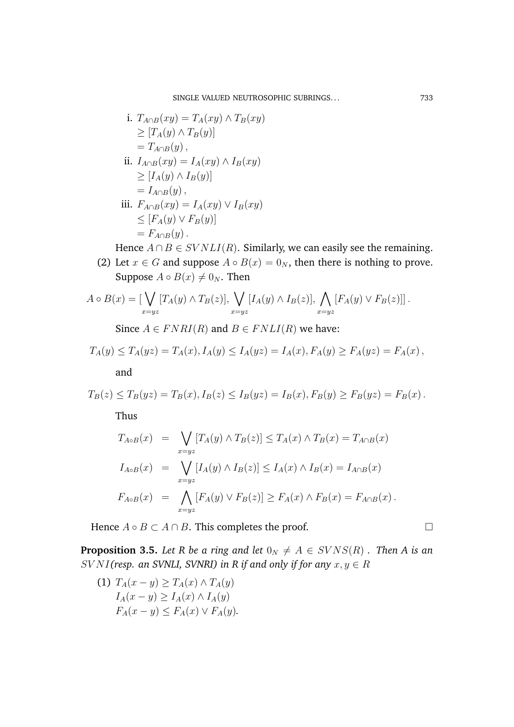SINGLE VALUED NEUTROSOPHIC SUBRINGS... 733

i. 
$$
T_{A \cap B}(xy) = T_A(xy) \wedge T_B(xy)
$$
  
\n $\geq [T_A(y) \wedge T_B(y)]$   
\n $= T_{A \cap B}(y)$ ,  
\nii.  $I_{A \cap B}(xy) = I_A(xy) \wedge I_B(xy)$   
\n $\geq [I_A(y) \wedge I_B(y)]$   
\n $= I_{A \cap B}(y)$ ,  
\niii.  $F_{A \cap B}(xy) = I_A(xy) \vee I_B(xy)$   
\n $\leq [F_A(y) \vee F_B(y)]$   
\n $= F_{A \cap B}(y)$ .

Hence  $A \cap B \in SVNLI(R)$ . Similarly, we can easily see the remaining.

(2) Let  $x \in G$  and suppose  $A \circ B(x) = 0_N$ , then there is nothing to prove. Suppose  $A \circ B(x) \neq 0_N$ . Then

$$
A \circ B(x) = \left[ \bigvee_{x=yz} [T_A(y) \land T_B(z)], \bigvee_{x=yz} [I_A(y) \land I_B(z)], \bigwedge_{x=yz} [F_A(y) \lor F_B(z)] \right].
$$

Since  $A \in FNRI(R)$  and  $B \in FNLI(R)$  we have:

$$
T_A(y) \le T_A(yz) = T_A(x), I_A(y) \le I_A(yz) = I_A(x), F_A(y) \ge F_A(yz) = F_A(x),
$$

and

$$
T_B(z) \le T_B(yz) = T_B(x), I_B(z) \le I_B(yz) = I_B(x), F_B(y) \ge F_B(yz) = F_B(x).
$$

Thus

$$
T_{A \circ B}(x) = \bigvee_{x = yz} [T_A(y) \land T_B(z)] \le T_A(x) \land T_B(x) = T_{A \cap B}(x)
$$
  
\n
$$
I_{A \circ B}(x) = \bigvee_{x = yz} [I_A(y) \land I_B(z)] \le I_A(x) \land I_B(x) = I_{A \cap B}(x)
$$
  
\n
$$
F_{A \circ B}(x) = \bigwedge_{x = yz} [F_A(y) \lor F_B(z)] \ge F_A(x) \land F_B(x) = F_{A \cap B}(x).
$$

Hence  $A \circ B \subset A \cap B$ . This completes the proof.

**Proposition 3.5.** *Let* R *be a ring and let*  $0_N \neq A \in SVNS(R)$  *. Then A is an*  $SVMI$ (resp. an SVNLI, SVNRI) in R if and only if for any  $x, y \in R$ 

(1)  $T_A(x - y) \geq T_A(x) \wedge T_A(y)$  $I_A(x-y) \geq I_A(x) \wedge I_A(y)$  $F_A(x-y) \leq F_A(x) \vee F_A(y)$ .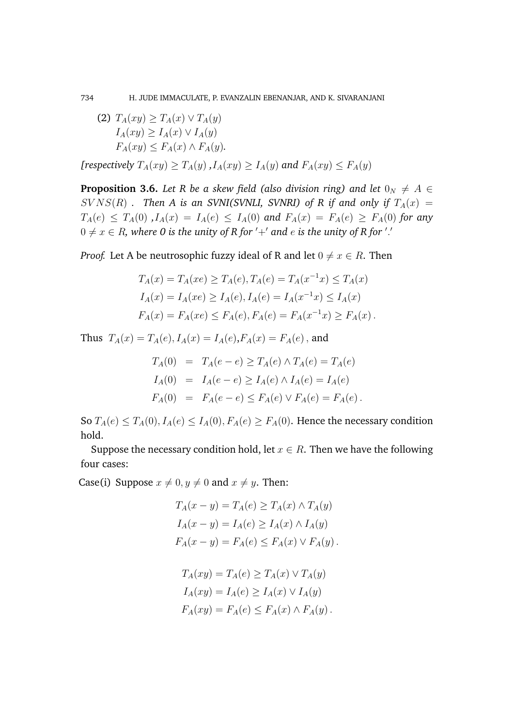734 H. JUDE IMMACULATE, P. EVANZALIN EBENANJAR, AND K. SIVARANJANI

(2) 
$$
T_A(xy) \ge T_A(x) \vee T_A(y)
$$
  
\n $I_A(xy) \ge I_A(x) \vee I_A(y)$   
\n $F_A(xy) \le F_A(x) \wedge F_A(y)$ .

*[respectively*  $T_A(xy) \ge T_A(y)$ ,  $I_A(xy) \ge I_A(y)$  *and*  $F_A(xy) \le F_A(y)$ 

**Proposition 3.6.** *Let* R be a skew field (also division ring) and let  $0_N \neq A \in$  $S V N S(R)$  *. Then A is an SVNI(SVNLI, SVNRI) of R if and only if*  $T_A(x)$  =  $T_A(e) \leq T_A(0)$ ,  $I_A(x) = I_A(e) \leq I_A(0)$  and  $F_A(x) = F_A(e) \geq F_A(0)$  for any  $0 \neq x \in R$ , where 0 is the unity of R for  $'+'$  and  $e$  is the unity of R for  $'$  .'

*Proof.* Let A be neutrosophic fuzzy ideal of R and let  $0 \neq x \in R$ . Then

$$
T_A(x) = T_A(xe) \ge T_A(e), T_A(e) = T_A(x^{-1}x) \le T_A(x)
$$
  
\n
$$
I_A(x) = I_A(xe) \ge I_A(e), I_A(e) = I_A(x^{-1}x) \le I_A(x)
$$
  
\n
$$
F_A(x) = F_A(xe) \le F_A(e), F_A(e) = F_A(x^{-1}x) \ge F_A(x).
$$

Thus  $T_A(x) = T_A(e), I_A(x) = I_A(e), F_A(x) = F_A(e)$ , and

$$
T_A(0) = T_A(e - e) \ge T_A(e) \land T_A(e) = T_A(e)
$$
  
\n
$$
I_A(0) = I_A(e - e) \ge I_A(e) \land I_A(e) = I_A(e)
$$
  
\n
$$
F_A(0) = F_A(e - e) \le F_A(e) \lor F_A(e) = F_A(e).
$$

So  $T_A(e) \leq T_A(0)$ ,  $I_A(e) \leq I_A(0)$ ,  $F_A(e) \geq F_A(0)$ . Hence the necessary condition hold.

Suppose the necessary condition hold, let  $x \in R$ . Then we have the following four cases:

Case(i) Suppose  $x \neq 0, y \neq 0$  and  $x \neq y$ . Then:

$$
T_A(x - y) = T_A(e) \ge T_A(x) \wedge T_A(y)
$$
  
\n
$$
I_A(x - y) = I_A(e) \ge I_A(x) \wedge I_A(y)
$$
  
\n
$$
F_A(x - y) = F_A(e) \le F_A(x) \vee F_A(y)
$$

$$
T_A(xy) = T_A(e) \ge T_A(x) \vee T_A(y)
$$
  
\n
$$
I_A(xy) = I_A(e) \ge I_A(x) \vee I_A(y)
$$
  
\n
$$
F_A(xy) = F_A(e) \le F_A(x) \wedge F_A(y).
$$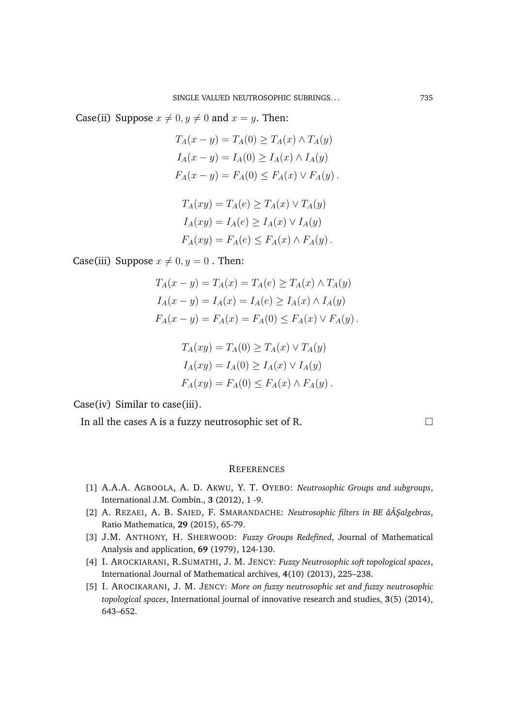Case(ii) Suppose  $x \neq 0, y \neq 0$  and  $x = y$ . Then:

$$
T_A(x - y) = T_A(0) \ge T_A(x) \wedge T_A(y)
$$
  
\n
$$
I_A(x - y) = I_A(0) \ge I_A(x) \wedge I_A(y)
$$
  
\n
$$
F_A(x - y) = F_A(0) \le F_A(x) \vee F_A(y).
$$

$$
T_A(xy) = T_A(e) \ge T_A(x) \vee T_A(y)
$$
  
\n
$$
I_A(xy) = I_A(e) \ge I_A(x) \vee I_A(y)
$$
  
\n
$$
F_A(xy) = F_A(e) \le F_A(x) \wedge F_A(y).
$$

Case(iii) Suppose  $x \neq 0, y = 0$ . Then:

$$
T_A(x - y) = T_A(x) = T_A(e) \ge T_A(x) \wedge T_A(y)
$$
  
\n
$$
I_A(x - y) = I_A(x) = I_A(e) \ge I_A(x) \wedge I_A(y)
$$
  
\n
$$
F_A(x - y) = F_A(x) = F_A(0) \le F_A(x) \vee F_A(y).
$$

$$
T_A(xy) = T_A(0) \ge T_A(x) \vee T_A(y)
$$
  
\n
$$
I_A(xy) = I_A(0) \ge I_A(x) \vee I_A(y)
$$
  
\n
$$
F_A(xy) = F_A(0) \le F_A(x) \wedge F_A(y).
$$

Case(iv) Similar to case(iii).

In all the cases A is a fuzzy neutrosophic set of R.

## **REFERENCES**

- [1] A.A.A. AGBOOLA, A. D. AKWU, Y. T. OYEBO: *Neutrosophic Groups and subgroups*, International J.M. Combin., **3** (2012), 1 -9.
- [2] A. REZAEI, A. B. SAIED, F. SMARANDACHE: *Neutrosophic filters in BE âĂŞalgebras*, Ratio Mathematica, **29** (2015), 65-79.
- [3] J.M. ANTHONY, H. SHERWOOD: *Fuzzy Groups Redefined*, Journal of Mathematical Analysis and application, **69** (1979), 124-130.
- [4] I. AROCKIARANI, R.SUMATHI, J. M. JENCY: *Fuzzy Neutrosophic soft topological spaces*, International Journal of Mathematical archives, **4**(10) (2013), 225–238.
- [5] I. AROCIKARANI, J. M. JENCY: *More on fuzzy neutrosophic set and fuzzy neutrosophic topological spaces*, International journal of innovative research and studies, **3**(5) (2014), 643–652.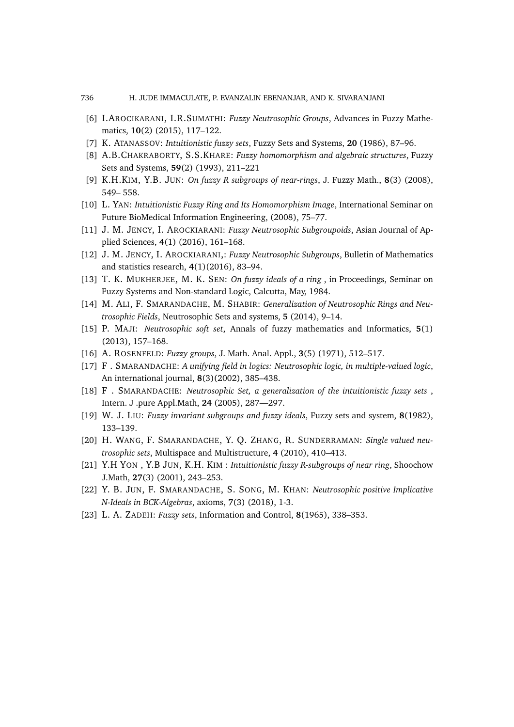#### 736 H. JUDE IMMACULATE, P. EVANZALIN EBENANJAR, AND K. SIVARANJANI

- [6] I.AROCIKARANI, I.R.SUMATHI: *Fuzzy Neutrosophic Groups*, Advances in Fuzzy Mathematics, **10**(2) (2015), 117–122.
- [7] K. ATANASSOV: *Intuitionistic fuzzy sets*, Fuzzy Sets and Systems, **20** (1986), 87–96.
- [8] A.B.CHAKRABORTY, S.S.KHARE: *Fuzzy homomorphism and algebraic structures*, Fuzzy Sets and Systems, **59**(2) (1993), 211–221
- [9] K.H.KIM, Y.B. JUN: *On fuzzy R subgroups of near-rings*, J. Fuzzy Math., **8**(3) (2008), 549– 558.
- [10] L. YAN: *Intuitionistic Fuzzy Ring and Its Homomorphism Image*, International Seminar on Future BioMedical Information Engineering, (2008), 75–77.
- [11] J. M. JENCY, I. AROCKIARANI: *Fuzzy Neutrosophic Subgroupoids*, Asian Journal of Applied Sciences, **4**(1) (2016), 161–168.
- [12] J. M. JENCY, I. AROCKIARANI,: *Fuzzy Neutrosophic Subgroups*, Bulletin of Mathematics and statistics research, **4**(1)(2016), 83–94.
- [13] T. K. MUKHERJEE, M. K. SEN: *On fuzzy ideals of a ring* , in Proceedings, Seminar on Fuzzy Systems and Non-standard Logic, Calcutta, May, 1984.
- [14] M. ALI, F. SMARANDACHE, M. SHABIR: *Generalization of Neutrosophic Rings and Neutrosophic Fields*, Neutrosophic Sets and systems, **5** (2014), 9–14.
- [15] P. MAJI: *Neutrosophic soft set*, Annals of fuzzy mathematics and Informatics, **5**(1) (2013), 157–168.
- [16] A. ROSENFELD: *Fuzzy groups*, J. Math. Anal. Appl., **3**(5) (1971), 512–517.
- [17] F . SMARANDACHE: *A unifying field in logics: Neutrosophic logic, in multiple-valued logic*, An international journal, **8**(3)(2002), 385–438.
- [18] F . SMARANDACHE: *Neutrosophic Set, a generalization of the intuitionistic fuzzy sets* , Intern. J .pure Appl.Math, **24** (2005), 287—297.
- [19] W. J. LIU: *Fuzzy invariant subgroups and fuzzy ideals*, Fuzzy sets and system, **8**(1982), 133–139.
- [20] H. WANG, F. SMARANDACHE, Y. Q. ZHANG, R. SUNDERRAMAN: *Single valued neutrosophic sets*, Multispace and Multistructure, **4** (2010), 410–413.
- [21] Y.H YON , Y.B JUN, K.H. KIM : *Intuitionistic fuzzy R-subgroups of near ring*, Shoochow J.Math, **27**(3) (2001), 243–253.
- [22] Y. B. JUN, F. SMARANDACHE, S. SONG, M. KHAN: *Neutrosophic positive Implicative N-Ideals in BCK-Algebras*, axioms, **7**(3) (2018), 1-3.
- [23] L. A. ZADEH: *Fuzzy sets*, Information and Control, **8**(1965), 338–353.